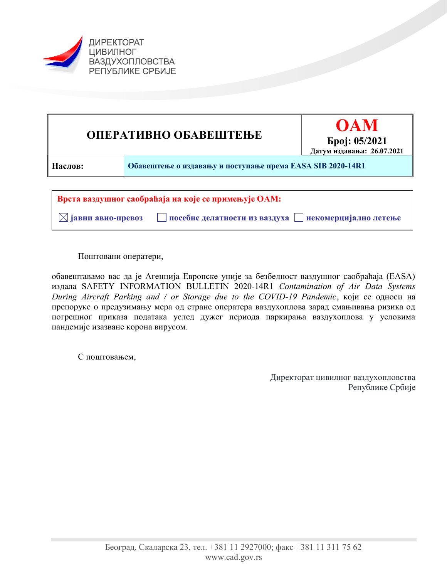



Поштовани оператери,

обавештавамо вас да је Агенција Европске уније за безбедност ваздушног саобраћаја (EASA) издала SAFETY INFORMATION BULLETIN 2020-14R1 Contamination of Air Data Systems During Aircraft Parking and / or Storage due to the COVID-19 Pandemic, који се односи на препоруке о предузимању мера од стране оператера ваздухоплова зарад смањивања ризика од погрешног приказа података услед дужег периода паркирања ваздухоплова у условима пандемије изазване корона вирусом.

С поштовањем,

Директорат цивилног ваздухопловства Републике Србије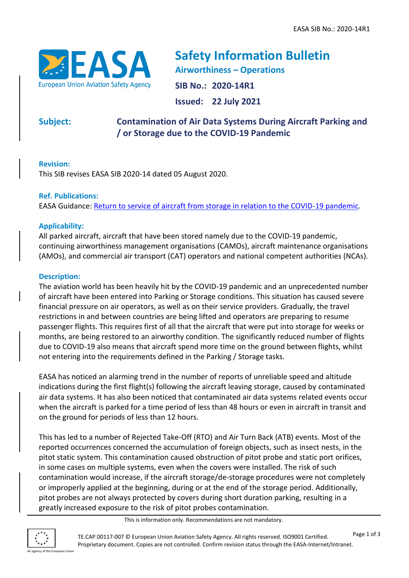

**Safety Information Bulletin Airworthiness – Operations SIB No.: 2020-14R1 Issued: 22 July 2021**

**Subject: Contamination of Air Data Systems During Aircraft Parking and / or Storage due to the COVID-19 Pandemic**

# **Revision:**

This SIB revises EASA SIB 2020-14 dated 05 August 2020.

# **Ref. Publications:**

EASA Guidance: [Return to service of aircraft from storage in relation to the COVID-19 pandemic.](https://www.easa.europa.eu/document-library/general-publications/guidelines-return-service-aircraft-storage-relation-covid-19)

# **Applicability:**

All parked aircraft, aircraft that have been stored namely due to the COVID-19 pandemic, continuing airworthiness management organisations (CAMOs), aircraft maintenance organisations (AMOs), and commercial air transport (CAT) operators and national competent authorities (NCAs).

### **Description:**

The aviation world has been heavily hit by the COVID-19 pandemic and an unprecedented number of aircraft have been entered into Parking or Storage conditions. This situation has caused severe financial pressure on air operators, as well as on their service providers. Gradually, the travel restrictions in and between countries are being lifted and operators are preparing to resume passenger flights. This requires first of all that the aircraft that were put into storage for weeks or months, are being restored to an airworthy condition. The significantly reduced number of flights due to COVID-19 also means that aircraft spend more time on the ground between flights, whilst not entering into the requirements defined in the Parking / Storage tasks.

EASA has noticed an alarming trend in the number of reports of unreliable speed and altitude indications during the first flight(s) following the aircraft leaving storage, caused by contaminated air data systems. It has also been noticed that contaminated air data systems related events occur when the aircraft is parked for a time period of less than 48 hours or even in aircraft in transit and on the ground for periods of less than 12 hours.

This has led to a number of Rejected Take-Off (RTO) and Air Turn Back (ATB) events. Most of the reported occurrences concerned the accumulation of foreign objects, such as insect nests, in the pitot static system. This contamination caused obstruction of pitot probe and static port orifices, in some cases on multiple systems, even when the covers were installed. The risk of such contamination would increase, if the aircraft storage/de-storage procedures were not completely or improperly applied at the beginning, during or at the end of the storage period. Additionally, pitot probes are not always protected by covers during short duration parking, resulting in a greatly increased exposure to the risk of pitot probes contamination.

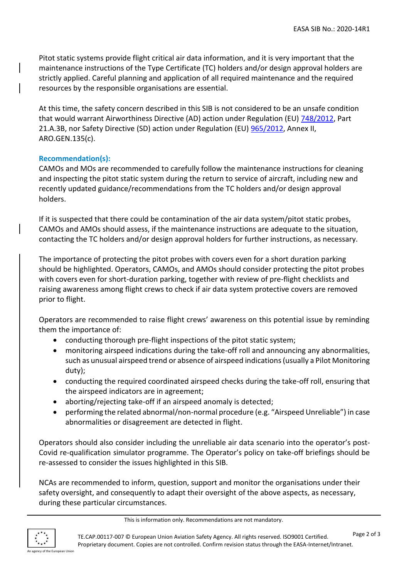Pitot static systems provide flight critical air data information, and it is very important that the maintenance instructions of the Type Certificate (TC) holders and/or design approval holders are strictly applied. Careful planning and application of all required maintenance and the required resources by the responsible organisations are essential.

At this time, the safety concern described in this SIB is not considered to be an unsafe condition that would warrant Airworthiness Directive (AD) action under Regulation (EU) [748/2012,](http://eur-lex.europa.eu/LexUriServ/LexUriServ.do?uri=OJ:L:2012:224:0001:0085:EN:PDF) Part 21.A.3B, nor Safety Directive (SD) action under Regulation (EU) [965/2012,](http://eur-lex.europa.eu/LexUriServ/LexUriServ.do?uri=OJ:L:2012:296:0001:0148:EN:PDF) Annex II, ARO.GEN.135(c).

#### **Recommendation(s):**

CAMOs and MOs are recommended to carefully follow the maintenance instructions for cleaning and inspecting the pitot static system during the return to service of aircraft, including new and recently updated guidance/recommendations from the TC holders and/or design approval holders.

If it is suspected that there could be contamination of the air data system/pitot static probes, CAMOs and AMOs should assess, if the maintenance instructions are adequate to the situation, contacting the TC holders and/or design approval holders for further instructions, as necessary.

The importance of protecting the pitot probes with covers even for a short duration parking should be highlighted. Operators, CAMOs, and AMOs should consider protecting the pitot probes with covers even for short-duration parking, together with review of pre-flight checklists and raising awareness among flight crews to check if air data system protective covers are removed prior to flight.

Operators are recommended to raise flight crews' awareness on this potential issue by reminding them the importance of:

- conducting thorough pre-flight inspections of the pitot static system;
- monitoring airspeed indications during the take-off roll and announcing any abnormalities, such as unusual airspeed trend or absence of airspeed indications (usually a Pilot Monitoring duty);
- conducting the required coordinated airspeed checks during the take-off roll, ensuring that the airspeed indicators are in agreement;
- aborting/rejecting take-off if an airspeed anomaly is detected;
- performing the related abnormal/non-normal procedure (e.g. "Airspeed Unreliable") in case abnormalities or disagreement are detected in flight.

Operators should also consider including the unreliable air data scenario into the operator's post-Covid re-qualification simulator programme. The Operator's policy on take-off briefings should be re-assessed to consider the issues highlighted in this SIB.

NCAs are recommended to inform, question, support and monitor the organisations under their safety oversight, and consequently to adapt their oversight of the above aspects, as necessary, during these particular circumstances.